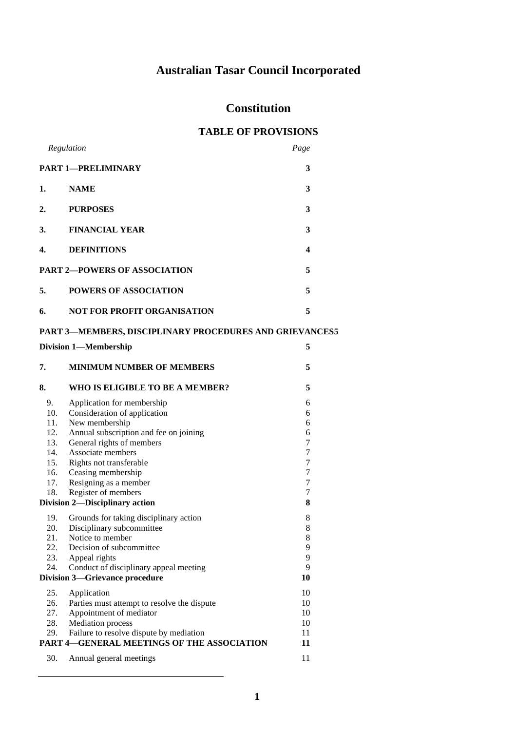# **Australian Tasar Council Incorporated**

## **Constitution**

## **TABLE OF PROVISIONS**

|                                                                | Regulation                                  | Page             |  |  |
|----------------------------------------------------------------|---------------------------------------------|------------------|--|--|
|                                                                | <b>PART 1-PRELIMINARY</b>                   | 3                |  |  |
| 1.                                                             | <b>NAME</b>                                 | 3                |  |  |
| 2.                                                             | <b>PURPOSES</b>                             | 3                |  |  |
| 3.                                                             | <b>FINANCIAL YEAR</b>                       | 3                |  |  |
| 4.                                                             | <b>DEFINITIONS</b>                          | 4                |  |  |
| <b>PART 2-POWERS OF ASSOCIATION</b>                            |                                             | 5                |  |  |
| 5.                                                             | <b>POWERS OF ASSOCIATION</b>                | 5                |  |  |
| 6.                                                             | <b>NOT FOR PROFIT ORGANISATION</b>          | 5                |  |  |
| <b>PART 3-MEMBERS, DISCIPLINARY PROCEDURES AND GRIEVANCESS</b> |                                             |                  |  |  |
| 5<br><b>Division 1-Membership</b>                              |                                             |                  |  |  |
| 7.                                                             | <b>MINIMUM NUMBER OF MEMBERS</b>            | 5                |  |  |
| 8.                                                             | WHO IS ELIGIBLE TO BE A MEMBER?             | 5                |  |  |
| 9.                                                             | Application for membership                  | 6                |  |  |
| 10.                                                            | Consideration of application                | 6                |  |  |
| 11.                                                            | New membership                              | 6                |  |  |
| 12.                                                            | Annual subscription and fee on joining      | 6                |  |  |
| 13.                                                            | General rights of members                   | 7                |  |  |
| 14.                                                            | Associate members                           | $\tau$           |  |  |
| 15.                                                            | Rights not transferable                     | 7<br>7           |  |  |
| 16.<br>17.                                                     | Ceasing membership<br>Resigning as a member | $\boldsymbol{7}$ |  |  |
| 18.                                                            | Register of members                         | 7                |  |  |
|                                                                | Division 2-Disciplinary action              | 8                |  |  |
|                                                                |                                             |                  |  |  |
| 19.                                                            | Grounds for taking disciplinary action      | 8                |  |  |
| 20.                                                            | Disciplinary subcommittee                   | 8                |  |  |
| 21.                                                            | Notice to member                            | 8                |  |  |
| 22.                                                            | Decision of subcommittee                    | 9                |  |  |
| 23.                                                            | Appeal rights                               | 9                |  |  |
| 24.                                                            | Conduct of disciplinary appeal meeting      | 9                |  |  |
|                                                                | <b>Division 3-Grievance procedure</b>       | 10               |  |  |
| 25.                                                            | Application                                 | 10               |  |  |
| 26.                                                            | Parties must attempt to resolve the dispute | 10               |  |  |
| 27.                                                            | Appointment of mediator                     | 10               |  |  |
| 28.                                                            | <b>Mediation</b> process                    | 10               |  |  |
| 29.                                                            | Failure to resolve dispute by mediation     | 11               |  |  |
| PART 4-GENERAL MEETINGS OF THE ASSOCIATION                     | 11                                          |                  |  |  |
| 30.                                                            | Annual general meetings                     | 11               |  |  |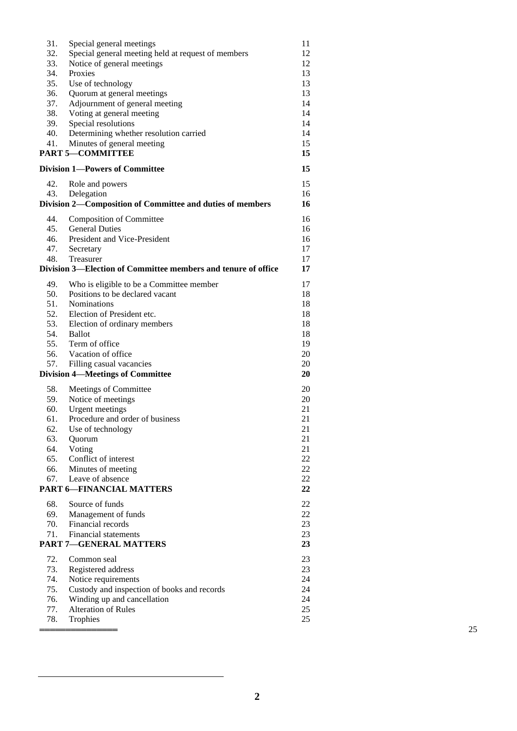| 31.                                   | Special general meetings                                      | 11 |    |
|---------------------------------------|---------------------------------------------------------------|----|----|
| 32.                                   | Special general meeting held at request of members            | 12 |    |
| 33.                                   | Notice of general meetings                                    | 12 |    |
| 34.                                   | Proxies                                                       | 13 |    |
| 35.                                   | Use of technology                                             | 13 |    |
| 36.                                   | Quorum at general meetings                                    | 13 |    |
| 37.                                   | Adjournment of general meeting                                | 14 |    |
| 38.                                   | Voting at general meeting                                     | 14 |    |
| 39.                                   | Special resolutions                                           | 14 |    |
| 40.                                   | Determining whether resolution carried                        | 14 |    |
| 41.                                   | Minutes of general meeting                                    | 15 |    |
|                                       | <b>PART 5-COMMITTEE</b>                                       | 15 |    |
| <b>Division 1-Powers of Committee</b> |                                                               | 15 |    |
| 42.                                   | Role and powers                                               | 15 |    |
| 43.                                   | Delegation                                                    | 16 |    |
|                                       | Division 2-Composition of Committee and duties of members     | 16 |    |
|                                       |                                                               |    |    |
| 44.                                   | <b>Composition of Committee</b>                               | 16 |    |
| 45.                                   | <b>General Duties</b>                                         | 16 |    |
| 46.                                   | President and Vice-President                                  | 16 |    |
| 47.                                   | Secretary                                                     | 17 |    |
| 48.                                   | Treasurer                                                     | 17 |    |
|                                       | Division 3—Election of Committee members and tenure of office | 17 |    |
| 49.                                   | Who is eligible to be a Committee member                      | 17 |    |
| 50.                                   | Positions to be declared vacant                               | 18 |    |
| 51.                                   | Nominations                                                   | 18 |    |
| 52.                                   | Election of President etc.                                    | 18 |    |
| 53.                                   | Election of ordinary members                                  | 18 |    |
| 54.                                   | <b>Ballot</b>                                                 | 18 |    |
| 55.                                   | Term of office                                                | 19 |    |
| 56.                                   | Vacation of office                                            | 20 |    |
| 57.                                   | Filling casual vacancies                                      | 20 |    |
|                                       | <b>Division 4-Meetings of Committee</b>                       | 20 |    |
| 58.                                   | Meetings of Committee                                         | 20 |    |
|                                       |                                                               |    |    |
| 59.                                   | Notice of meetings                                            | 20 |    |
| 60.                                   | <b>Urgent</b> meetings                                        | 21 |    |
| 61.                                   | Procedure and order of business                               | 21 |    |
| 62.                                   | Use of technology                                             | 21 |    |
| 63.                                   | Quorum                                                        | 21 |    |
| 64.                                   | Voting                                                        | 21 |    |
| 65.                                   | Conflict of interest                                          | 22 |    |
| 66.                                   | Minutes of meeting                                            | 22 |    |
| 67.                                   | Leave of absence                                              | 22 |    |
|                                       | <b>PART 6-FINANCIAL MATTERS</b>                               | 22 |    |
| 68.                                   | Source of funds                                               | 22 |    |
| 69.                                   | Management of funds                                           | 22 |    |
| 70.                                   | Financial records                                             | 23 |    |
| 71.                                   | <b>Financial statements</b>                                   | 23 |    |
| <b>PART 7-GENERAL MATTERS</b>         |                                                               | 23 |    |
| 72.                                   | Common seal                                                   | 23 |    |
| 73.                                   | Registered address                                            | 23 |    |
| 74.                                   | Notice requirements                                           | 24 |    |
| 75.                                   | Custody and inspection of books and records                   | 24 |    |
| 76.                                   | Winding up and cancellation                                   | 24 |    |
| 77.                                   | Alteration of Rules                                           | 25 |    |
| 78.                                   | Trophies                                                      | 25 |    |
|                                       |                                                               |    | 25 |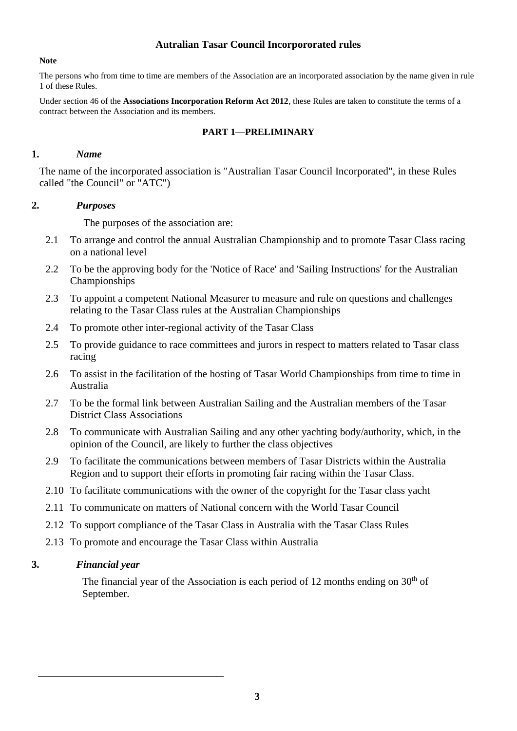## **Autralian Tasar Council Incorpororated rules**

#### **Note**

The persons who from time to time are members of the Association are an incorporated association by the name given in rule 1 of these Rules.

Under section 46 of the **Associations Incorporation Reform Act 2012**, these Rules are taken to constitute the terms of a contract between the Association and its members.

#### **PART 1—PRELIMINARY**

#### **1.** *Name*

The name of the incorporated association is "Australian Tasar Council Incorporated", in these Rules called "the Council" or "ATC")

#### **2.** *Purposes*

The purposes of the association are:

- 2.1 To arrange and control the annual Australian Championship and to promote Tasar Class racing on a national level
- 2.2 To be the approving body for the 'Notice of Race' and 'Sailing Instructions' for the Australian Championships
- 2.3 To appoint a competent National Measurer to measure and rule on questions and challenges relating to the Tasar Class rules at the Australian Championships
- 2.4 To promote other inter-regional activity of the Tasar Class
- 2.5 To provide guidance to race committees and jurors in respect to matters related to Tasar class racing
- 2.6 To assist in the facilitation of the hosting of Tasar World Championships from time to time in Australia
- 2.7 To be the formal link between Australian Sailing and the Australian members of the Tasar District Class Associations
- 2.8 To communicate with Australian Sailing and any other yachting body/authority, which, in the opinion of the Council, are likely to further the class objectives
- 2.9 To facilitate the communications between members of Tasar Districts within the Australia Region and to support their efforts in promoting fair racing within the Tasar Class.
- 2.10 To facilitate communications with the owner of the copyright for the Tasar class yacht
- 2.11 To communicate on matters of National concern with the World Tasar Council
- 2.12 To support compliance of the Tasar Class in Australia with the Tasar Class Rules
- 2.13 To promote and encourage the Tasar Class within Australia

#### **3.** *Financial year*

The financial year of the Association is each period of 12 months ending on  $30<sup>th</sup>$  of September.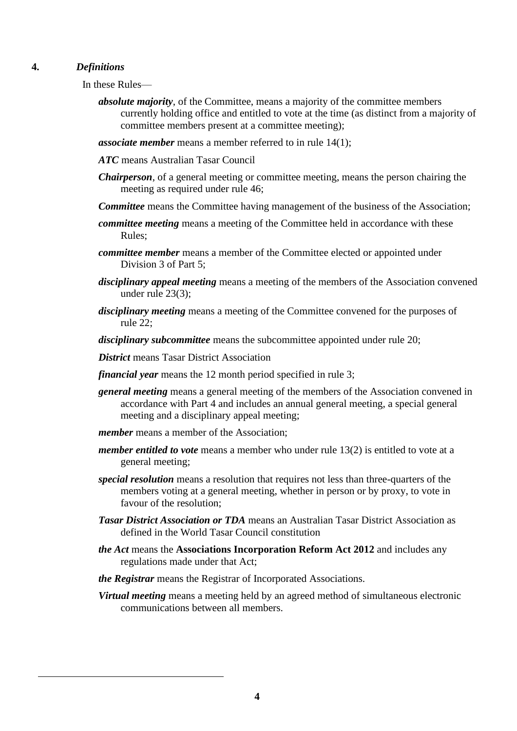## **4.** *Definitions*

In these Rules—

- *absolute majority*, of the Committee, means a majority of the committee members currently holding office and entitled to vote at the time (as distinct from a majority of committee members present at a committee meeting);
- *associate member* means a member referred to in rule 14(1);
- *ATC* means Australian Tasar Council
- *Chairperson*, of a general meeting or committee meeting, means the person chairing the meeting as required under rule 46;
- *Committee* means the Committee having management of the business of the Association;
- *committee meeting* means a meeting of the Committee held in accordance with these Rules;
- *committee member* means a member of the Committee elected or appointed under Division 3 of Part 5;
- *disciplinary appeal meeting* means a meeting of the members of the Association convened under rule 23(3);
- *disciplinary meeting* means a meeting of the Committee convened for the purposes of rule 22;
- *disciplinary subcommittee* means the subcommittee appointed under rule 20;
- *District* means Tasar District Association
- *financial year* means the 12 month period specified in rule 3;
- *general meeting* means a general meeting of the members of the Association convened in accordance with Part 4 and includes an annual general meeting, a special general meeting and a disciplinary appeal meeting;
- *member* means a member of the Association:
- *member entitled to vote* means a member who under rule 13(2) is entitled to vote at a general meeting;
- *special resolution* means a resolution that requires not less than three-quarters of the members voting at a general meeting, whether in person or by proxy, to vote in favour of the resolution;
- *Tasar District Association or TDA* means an Australian Tasar District Association as defined in the World Tasar Council constitution
- *the Act* means the **Associations Incorporation Reform Act 2012** and includes any regulations made under that Act;
- *the Registrar* means the Registrar of Incorporated Associations.
- *Virtual meeting* means a meeting held by an agreed method of simultaneous electronic communications between all members.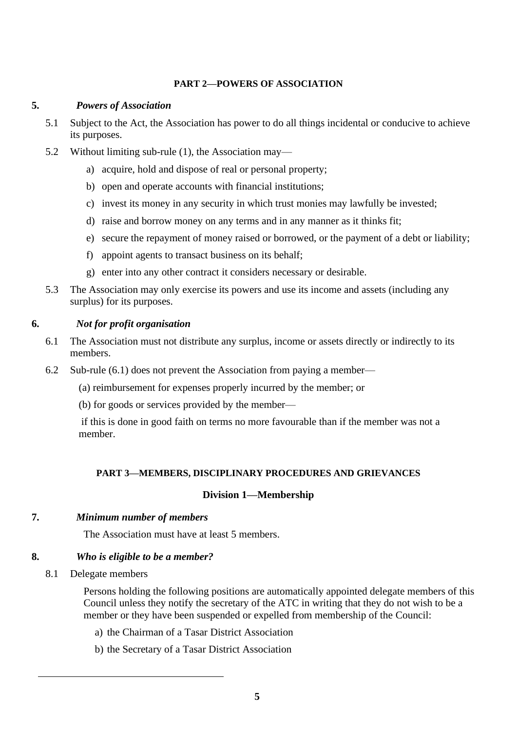#### **PART 2—POWERS OF ASSOCIATION**

## **5.** *Powers of Association*

- 5.1 Subject to the Act, the Association has power to do all things incidental or conducive to achieve its purposes.
- 5.2 Without limiting sub-rule (1), the Association may
	- a) acquire, hold and dispose of real or personal property;
	- b) open and operate accounts with financial institutions;
	- c) invest its money in any security in which trust monies may lawfully be invested;
	- d) raise and borrow money on any terms and in any manner as it thinks fit;
	- e) secure the repayment of money raised or borrowed, or the payment of a debt or liability;
	- f) appoint agents to transact business on its behalf;
	- g) enter into any other contract it considers necessary or desirable.
- 5.3 The Association may only exercise its powers and use its income and assets (including any surplus) for its purposes.

## **6.** *Not for profit organisation*

- 6.1 The Association must not distribute any surplus, income or assets directly or indirectly to its members.
- 6.2 Sub-rule (6.1) does not prevent the Association from paying a member—
	- (a) reimbursement for expenses properly incurred by the member; or
	- (b) for goods or services provided by the member—

if this is done in good faith on terms no more favourable than if the member was not a member.

## **PART 3—MEMBERS, DISCIPLINARY PROCEDURES AND GRIEVANCES**

## **Division 1—Membership**

## **7.** *Minimum number of members*

The Association must have at least 5 members.

## **8.** *Who is eligible to be a member?*

8.1 Delegate members

Persons holding the following positions are automatically appointed delegate members of this Council unless they notify the secretary of the ATC in writing that they do not wish to be a member or they have been suspended or expelled from membership of the Council:

- a) the Chairman of a Tasar District Association
- b) the Secretary of a Tasar District Association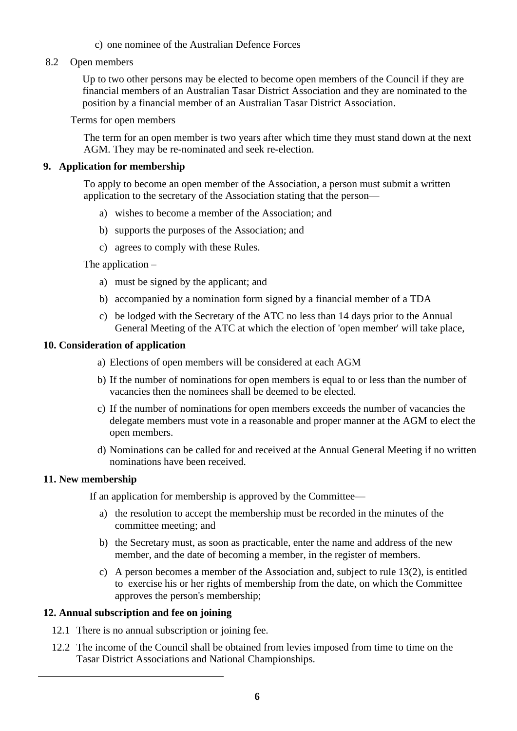## c) one nominee of the Australian Defence Forces

#### 8.2 Open members

Up to two other persons may be elected to become open members of the Council if they are financial members of an Australian Tasar District Association and they are nominated to the position by a financial member of an Australian Tasar District Association.

#### Terms for open members

The term for an open member is two years after which time they must stand down at the next AGM. They may be re-nominated and seek re-election.

#### **9. Application for membership**

To apply to become an open member of the Association, a person must submit a written application to the secretary of the Association stating that the person—

- a) wishes to become a member of the Association; and
- b) supports the purposes of the Association; and
- c) agrees to comply with these Rules.

#### The application –

- a) must be signed by the applicant; and
- b) accompanied by a nomination form signed by a financial member of a TDA
- c) be lodged with the Secretary of the ATC no less than 14 days prior to the Annual General Meeting of the ATC at which the election of 'open member' will take place,

#### **10. Consideration of application**

- a) Elections of open members will be considered at each AGM
- b) If the number of nominations for open members is equal to or less than the number of vacancies then the nominees shall be deemed to be elected.
- c) If the number of nominations for open members exceeds the number of vacancies the delegate members must vote in a reasonable and proper manner at the AGM to elect the open members.
- d) Nominations can be called for and received at the Annual General Meeting if no written nominations have been received.

#### **11. New membership**

If an application for membership is approved by the Committee—

- a) the resolution to accept the membership must be recorded in the minutes of the committee meeting; and
- b) the Secretary must, as soon as practicable, enter the name and address of the new member, and the date of becoming a member, in the register of members.
- c) A person becomes a member of the Association and, subject to rule 13(2), is entitled to exercise his or her rights of membership from the date, on which the Committee approves the person's membership;

#### **12. Annual subscription and fee on joining**

- 12.1 There is no annual subscription or joining fee.
- 12.2 The income of the Council shall be obtained from levies imposed from time to time on the Tasar District Associations and National Championships.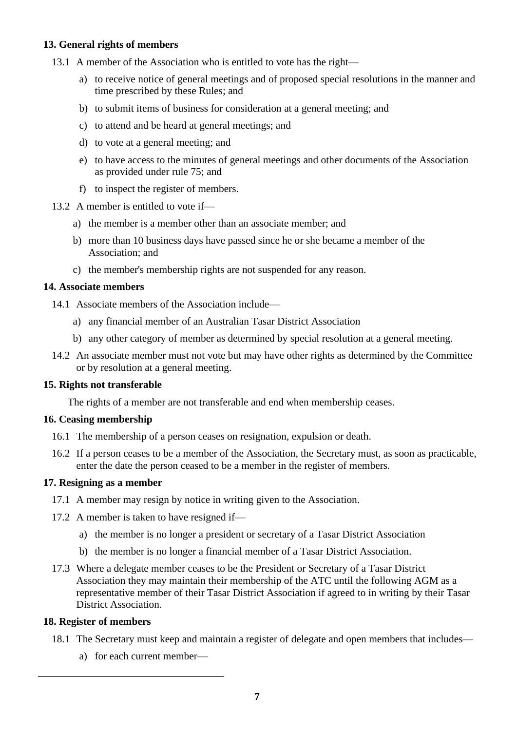## **13. General rights of members**

- 13.1 A member of the Association who is entitled to vote has the right
	- a) to receive notice of general meetings and of proposed special resolutions in the manner and time prescribed by these Rules; and
	- b) to submit items of business for consideration at a general meeting; and
	- c) to attend and be heard at general meetings; and
	- d) to vote at a general meeting; and
	- e) to have access to the minutes of general meetings and other documents of the Association as provided under rule 75; and
	- f) to inspect the register of members.
- 13.2 A member is entitled to vote if
	- a) the member is a member other than an associate member; and
	- b) more than 10 business days have passed since he or she became a member of the Association; and
	- c) the member's membership rights are not suspended for any reason.

## **14. Associate members**

- 14.1 Associate members of the Association include
	- a) any financial member of an Australian Tasar District Association
	- b) any other category of member as determined by special resolution at a general meeting.
- 14.2 An associate member must not vote but may have other rights as determined by the Committee or by resolution at a general meeting.

#### **15. Rights not transferable**

The rights of a member are not transferable and end when membership ceases.

#### **16. Ceasing membership**

- 16.1 The membership of a person ceases on resignation, expulsion or death.
- 16.2 If a person ceases to be a member of the Association, the Secretary must, as soon as practicable, enter the date the person ceased to be a member in the register of members.

#### **17. Resigning as a member**

- 17.1 A member may resign by notice in writing given to the Association.
- 17.2 A member is taken to have resigned if
	- a) the member is no longer a president or secretary of a Tasar District Association
	- b) the member is no longer a financial member of a Tasar District Association.
- 17.3 Where a delegate member ceases to be the President or Secretary of a Tasar District Association they may maintain their membership of the ATC until the following AGM as a representative member of their Tasar District Association if agreed to in writing by their Tasar District Association.

#### **18. Register of members**

- 18.1 The Secretary must keep and maintain a register of delegate and open members that includes
	- a) for each current member—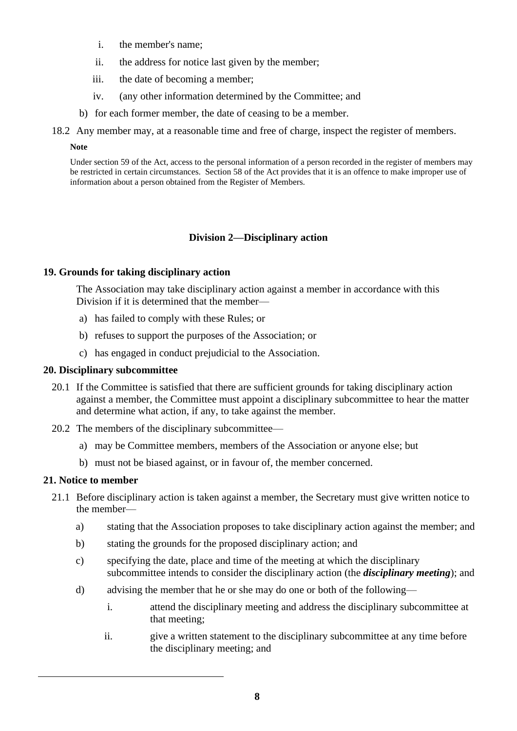- i. the member's name;
- ii. the address for notice last given by the member;
- iii. the date of becoming a member;
- iv. (any other information determined by the Committee; and
- b) for each former member, the date of ceasing to be a member.
- 18.2 Any member may, at a reasonable time and free of charge, inspect the register of members.

#### **Note**

Under section 59 of the Act, access to the personal information of a person recorded in the register of members may be restricted in certain circumstances. Section 58 of the Act provides that it is an offence to make improper use of information about a person obtained from the Register of Members.

## **Division 2—Disciplinary action**

## **19. Grounds for taking disciplinary action**

The Association may take disciplinary action against a member in accordance with this Division if it is determined that the member—

- a) has failed to comply with these Rules; or
- b) refuses to support the purposes of the Association; or
- c) has engaged in conduct prejudicial to the Association.

## **20. Disciplinary subcommittee**

- 20.1 If the Committee is satisfied that there are sufficient grounds for taking disciplinary action against a member, the Committee must appoint a disciplinary subcommittee to hear the matter and determine what action, if any, to take against the member.
- 20.2 The members of the disciplinary subcommittee
	- a) may be Committee members, members of the Association or anyone else; but
	- b) must not be biased against, or in favour of, the member concerned.

#### **21. Notice to member**

- 21.1 Before disciplinary action is taken against a member, the Secretary must give written notice to the member
	- a) stating that the Association proposes to take disciplinary action against the member; and
	- b) stating the grounds for the proposed disciplinary action; and
	- c) specifying the date, place and time of the meeting at which the disciplinary subcommittee intends to consider the disciplinary action (the *disciplinary meeting*); and
	- d) advising the member that he or she may do one or both of the following
		- i. attend the disciplinary meeting and address the disciplinary subcommittee at that meeting;
		- ii. give a written statement to the disciplinary subcommittee at any time before the disciplinary meeting; and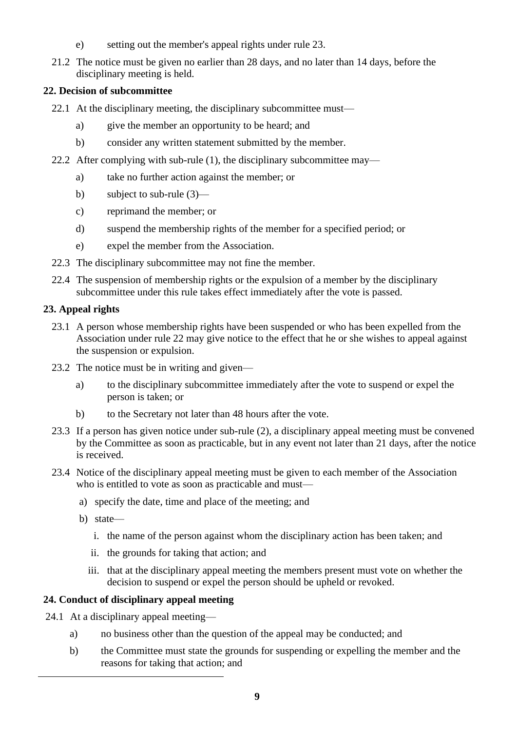- e) setting out the member's appeal rights under rule 23.
- 21.2 The notice must be given no earlier than 28 days, and no later than 14 days, before the disciplinary meeting is held.

## **22. Decision of subcommittee**

- 22.1 At the disciplinary meeting, the disciplinary subcommittee must
	- a) give the member an opportunity to be heard; and
	- b) consider any written statement submitted by the member.
- 22.2 After complying with sub-rule (1), the disciplinary subcommittee may
	- a) take no further action against the member; or
	- b) subject to sub-rule (3)—
	- c) reprimand the member; or
	- d) suspend the membership rights of the member for a specified period; or
	- e) expel the member from the Association.
- 22.3 The disciplinary subcommittee may not fine the member.
- 22.4 The suspension of membership rights or the expulsion of a member by the disciplinary subcommittee under this rule takes effect immediately after the vote is passed.

## **23. Appeal rights**

- 23.1 A person whose membership rights have been suspended or who has been expelled from the Association under rule 22 may give notice to the effect that he or she wishes to appeal against the suspension or expulsion.
- 23.2 The notice must be in writing and given
	- a) to the disciplinary subcommittee immediately after the vote to suspend or expel the person is taken; or
	- b) to the Secretary not later than 48 hours after the vote.
- 23.3 If a person has given notice under sub-rule (2), a disciplinary appeal meeting must be convened by the Committee as soon as practicable, but in any event not later than 21 days, after the notice is received.
- 23.4 Notice of the disciplinary appeal meeting must be given to each member of the Association who is entitled to vote as soon as practicable and must
	- a) specify the date, time and place of the meeting; and
	- b) state
		- i. the name of the person against whom the disciplinary action has been taken; and
		- ii. the grounds for taking that action; and
		- iii. that at the disciplinary appeal meeting the members present must vote on whether the decision to suspend or expel the person should be upheld or revoked.

## **24. Conduct of disciplinary appeal meeting**

- 24.1 At a disciplinary appeal meeting
	- a) no business other than the question of the appeal may be conducted; and
	- b) the Committee must state the grounds for suspending or expelling the member and the reasons for taking that action; and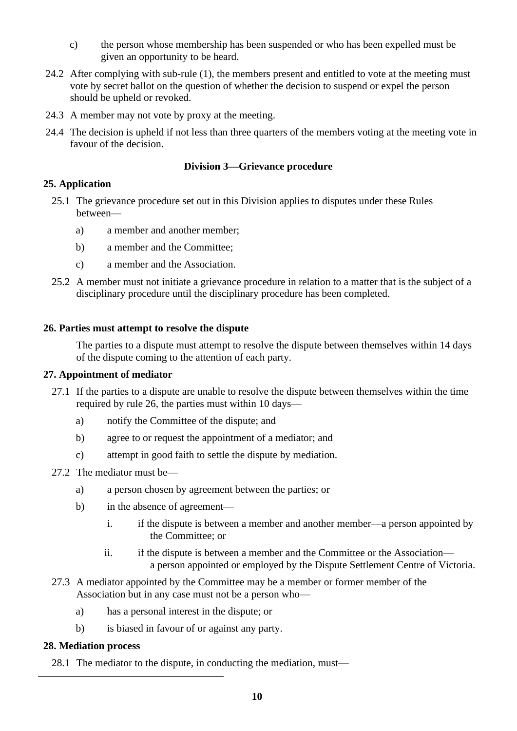- c) the person whose membership has been suspended or who has been expelled must be given an opportunity to be heard.
- 24.2 After complying with sub-rule (1), the members present and entitled to vote at the meeting must vote by secret ballot on the question of whether the decision to suspend or expel the person should be upheld or revoked.
- 24.3 A member may not vote by proxy at the meeting.
- 24.4 The decision is upheld if not less than three quarters of the members voting at the meeting vote in favour of the decision.

## **Division 3—Grievance procedure**

## **25. Application**

- 25.1 The grievance procedure set out in this Division applies to disputes under these Rules between
	- a) a member and another member;
	- b) a member and the Committee;
	- c) a member and the Association.
- 25.2 A member must not initiate a grievance procedure in relation to a matter that is the subject of a disciplinary procedure until the disciplinary procedure has been completed.

#### **26. Parties must attempt to resolve the dispute**

The parties to a dispute must attempt to resolve the dispute between themselves within 14 days of the dispute coming to the attention of each party.

#### **27. Appointment of mediator**

- 27.1 If the parties to a dispute are unable to resolve the dispute between themselves within the time required by rule 26, the parties must within 10 days
	- a) notify the Committee of the dispute; and
	- b) agree to or request the appointment of a mediator; and
	- c) attempt in good faith to settle the dispute by mediation.
- 27.2 The mediator must be
	- a) a person chosen by agreement between the parties; or
	- b) in the absence of agreement
		- i. if the dispute is between a member and another member—a person appointed by the Committee; or
		- ii. if the dispute is between a member and the Committee or the Association a person appointed or employed by the Dispute Settlement Centre of Victoria.
- 27.3 A mediator appointed by the Committee may be a member or former member of the Association but in any case must not be a person who
	- a) has a personal interest in the dispute; or
	- b) is biased in favour of or against any party.

#### **28. Mediation process**

28.1 The mediator to the dispute, in conducting the mediation, must—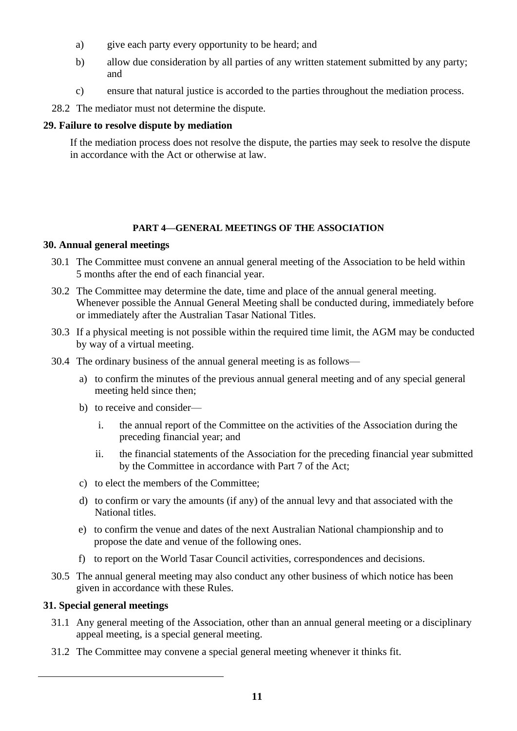- a) give each party every opportunity to be heard; and
- b) allow due consideration by all parties of any written statement submitted by any party; and
- c) ensure that natural justice is accorded to the parties throughout the mediation process.
- 28.2 The mediator must not determine the dispute.

## **29. Failure to resolve dispute by mediation**

If the mediation process does not resolve the dispute, the parties may seek to resolve the dispute in accordance with the Act or otherwise at law.

## **PART 4—GENERAL MEETINGS OF THE ASSOCIATION**

## **30. Annual general meetings**

- 30.1 The Committee must convene an annual general meeting of the Association to be held within 5 months after the end of each financial year.
- 30.2 The Committee may determine the date, time and place of the annual general meeting. Whenever possible the Annual General Meeting shall be conducted during, immediately before or immediately after the Australian Tasar National Titles.
- 30.3 If a physical meeting is not possible within the required time limit, the AGM may be conducted by way of a virtual meeting.
- 30.4 The ordinary business of the annual general meeting is as follows
	- a) to confirm the minutes of the previous annual general meeting and of any special general meeting held since then;
	- b) to receive and consider
		- i. the annual report of the Committee on the activities of the Association during the preceding financial year; and
		- ii. the financial statements of the Association for the preceding financial year submitted by the Committee in accordance with Part 7 of the Act;
	- c) to elect the members of the Committee;
	- d) to confirm or vary the amounts (if any) of the annual levy and that associated with the National titles.
	- e) to confirm the venue and dates of the next Australian National championship and to propose the date and venue of the following ones.
	- f) to report on the World Tasar Council activities, correspondences and decisions.
- 30.5 The annual general meeting may also conduct any other business of which notice has been given in accordance with these Rules.

## **31. Special general meetings**

- 31.1 Any general meeting of the Association, other than an annual general meeting or a disciplinary appeal meeting, is a special general meeting.
- 31.2 The Committee may convene a special general meeting whenever it thinks fit.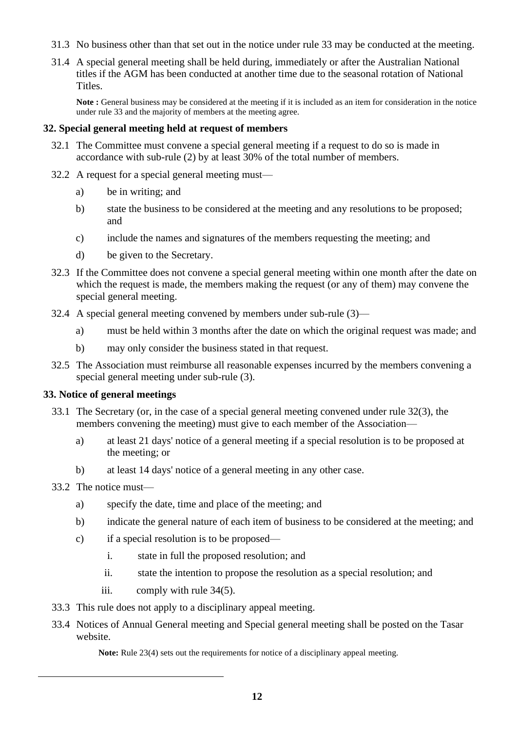- 31.3 No business other than that set out in the notice under rule 33 may be conducted at the meeting.
- 31.4 A special general meeting shall be held during, immediately or after the Australian National titles if the AGM has been conducted at another time due to the seasonal rotation of National Titles.

**Note :** General business may be considered at the meeting if it is included as an item for consideration in the notice under rule 33 and the majority of members at the meeting agree.

#### **32. Special general meeting held at request of members**

- 32.1 The Committee must convene a special general meeting if a request to do so is made in accordance with sub-rule (2) by at least 30% of the total number of members.
- 32.2 A request for a special general meeting must
	- a) be in writing; and
	- b) state the business to be considered at the meeting and any resolutions to be proposed; and
	- c) include the names and signatures of the members requesting the meeting; and
	- d) be given to the Secretary.
- 32.3 If the Committee does not convene a special general meeting within one month after the date on which the request is made, the members making the request (or any of them) may convene the special general meeting.
- 32.4 A special general meeting convened by members under sub-rule (3)
	- a) must be held within 3 months after the date on which the original request was made; and
	- b) may only consider the business stated in that request.
- 32.5 The Association must reimburse all reasonable expenses incurred by the members convening a special general meeting under sub-rule (3).

#### **33. Notice of general meetings**

- 33.1 The Secretary (or, in the case of a special general meeting convened under rule 32(3), the members convening the meeting) must give to each member of the Association
	- a) at least 21 days' notice of a general meeting if a special resolution is to be proposed at the meeting; or
	- b) at least 14 days' notice of a general meeting in any other case.

## 33.2 The notice must—

- a) specify the date, time and place of the meeting; and
- b) indicate the general nature of each item of business to be considered at the meeting; and
- c) if a special resolution is to be proposed
	- i. state in full the proposed resolution; and
	- ii. state the intention to propose the resolution as a special resolution; and
	- iii. comply with rule 34(5).
- 33.3 This rule does not apply to a disciplinary appeal meeting.
- 33.4 Notices of Annual General meeting and Special general meeting shall be posted on the Tasar website.

**Note:** Rule 23(4) sets out the requirements for notice of a disciplinary appeal meeting.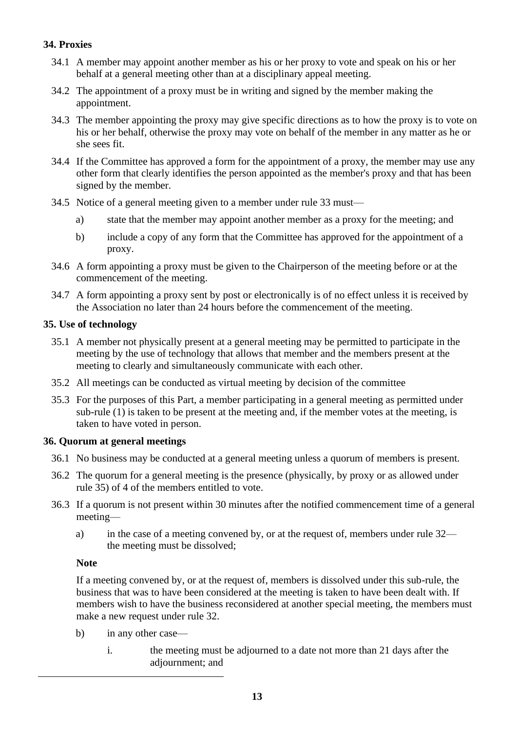## **34. Proxies**

- 34.1 A member may appoint another member as his or her proxy to vote and speak on his or her behalf at a general meeting other than at a disciplinary appeal meeting.
- 34.2 The appointment of a proxy must be in writing and signed by the member making the appointment.
- 34.3 The member appointing the proxy may give specific directions as to how the proxy is to vote on his or her behalf, otherwise the proxy may vote on behalf of the member in any matter as he or she sees fit.
- 34.4 If the Committee has approved a form for the appointment of a proxy, the member may use any other form that clearly identifies the person appointed as the member's proxy and that has been signed by the member.
- 34.5 Notice of a general meeting given to a member under rule 33 must
	- a) state that the member may appoint another member as a proxy for the meeting; and
	- b) include a copy of any form that the Committee has approved for the appointment of a proxy.
- 34.6 A form appointing a proxy must be given to the Chairperson of the meeting before or at the commencement of the meeting.
- 34.7 A form appointing a proxy sent by post or electronically is of no effect unless it is received by the Association no later than 24 hours before the commencement of the meeting.

## **35. Use of technology**

- 35.1 A member not physically present at a general meeting may be permitted to participate in the meeting by the use of technology that allows that member and the members present at the meeting to clearly and simultaneously communicate with each other.
- 35.2 All meetings can be conducted as virtual meeting by decision of the committee
- 35.3 For the purposes of this Part, a member participating in a general meeting as permitted under sub-rule (1) is taken to be present at the meeting and, if the member votes at the meeting, is taken to have voted in person.

#### **36. Quorum at general meetings**

- 36.1 No business may be conducted at a general meeting unless a quorum of members is present.
- 36.2 The quorum for a general meeting is the presence (physically, by proxy or as allowed under rule 35) of 4 of the members entitled to vote.
- 36.3 If a quorum is not present within 30 minutes after the notified commencement time of a general meeting
	- a) in the case of a meeting convened by, or at the request of, members under rule 32 the meeting must be dissolved;

#### **Note**

If a meeting convened by, or at the request of, members is dissolved under this sub-rule, the business that was to have been considered at the meeting is taken to have been dealt with. If members wish to have the business reconsidered at another special meeting, the members must make a new request under rule 32.

- b) in any other case
	- i. the meeting must be adjourned to a date not more than 21 days after the adjournment; and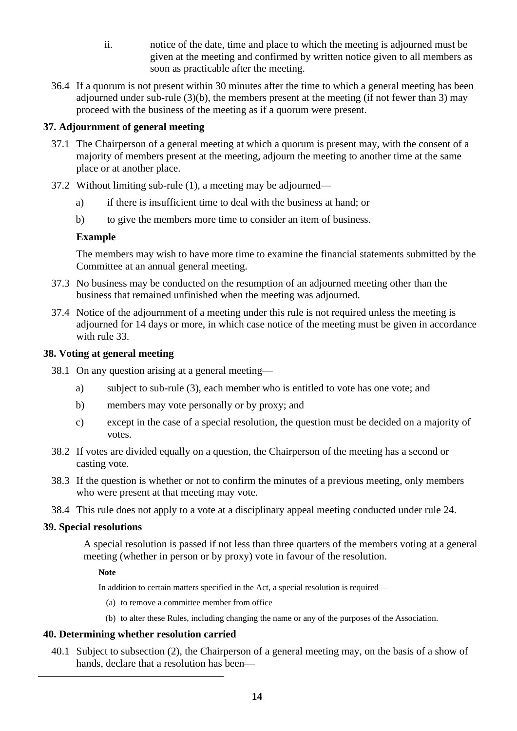- ii. notice of the date, time and place to which the meeting is adjourned must be given at the meeting and confirmed by written notice given to all members as soon as practicable after the meeting.
- 36.4 If a quorum is not present within 30 minutes after the time to which a general meeting has been adjourned under sub-rule (3)(b), the members present at the meeting (if not fewer than 3) may proceed with the business of the meeting as if a quorum were present.

## **37. Adjournment of general meeting**

- 37.1 The Chairperson of a general meeting at which a quorum is present may, with the consent of a majority of members present at the meeting, adjourn the meeting to another time at the same place or at another place.
- 37.2 Without limiting sub-rule (1), a meeting may be adjourned
	- a) if there is insufficient time to deal with the business at hand; or
	- b) to give the members more time to consider an item of business.

#### **Example**

The members may wish to have more time to examine the financial statements submitted by the Committee at an annual general meeting.

- 37.3 No business may be conducted on the resumption of an adjourned meeting other than the business that remained unfinished when the meeting was adjourned.
- 37.4 Notice of the adjournment of a meeting under this rule is not required unless the meeting is adjourned for 14 days or more, in which case notice of the meeting must be given in accordance with rule 33.

#### **38. Voting at general meeting**

- 38.1 On any question arising at a general meeting
	- a) subject to sub-rule (3), each member who is entitled to vote has one vote; and
	- b) members may vote personally or by proxy; and
	- c) except in the case of a special resolution, the question must be decided on a majority of votes.
- 38.2 If votes are divided equally on a question, the Chairperson of the meeting has a second or casting vote.
- 38.3 If the question is whether or not to confirm the minutes of a previous meeting, only members who were present at that meeting may vote.
- 38.4 This rule does not apply to a vote at a disciplinary appeal meeting conducted under rule 24.

#### **39. Special resolutions**

A special resolution is passed if not less than three quarters of the members voting at a general meeting (whether in person or by proxy) vote in favour of the resolution.

**Note**

In addition to certain matters specified in the Act, a special resolution is required—

- (a) to remove a committee member from office
- (b) to alter these Rules, including changing the name or any of the purposes of the Association.

#### **40. Determining whether resolution carried**

40.1 Subject to subsection (2), the Chairperson of a general meeting may, on the basis of a show of hands, declare that a resolution has been—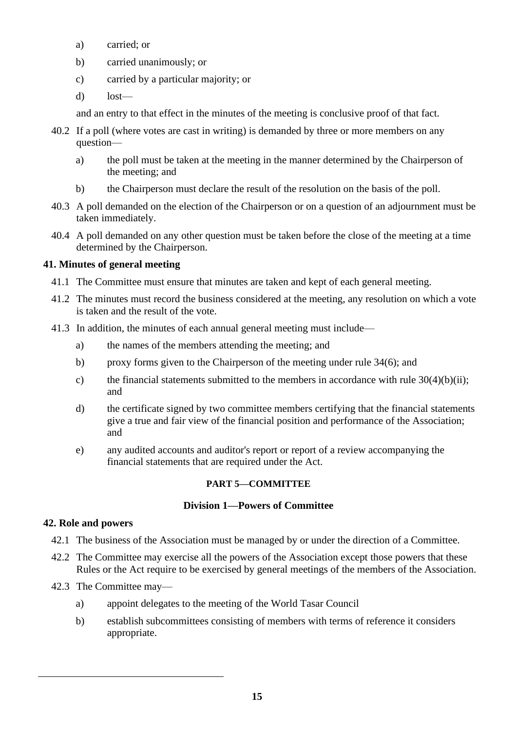- a) carried; or
- b) carried unanimously; or
- c) carried by a particular majority; or
- d) lost—

and an entry to that effect in the minutes of the meeting is conclusive proof of that fact.

- 40.2 If a poll (where votes are cast in writing) is demanded by three or more members on any question
	- a) the poll must be taken at the meeting in the manner determined by the Chairperson of the meeting; and
	- b) the Chairperson must declare the result of the resolution on the basis of the poll.
- 40.3 A poll demanded on the election of the Chairperson or on a question of an adjournment must be taken immediately.
- 40.4 A poll demanded on any other question must be taken before the close of the meeting at a time determined by the Chairperson.

## **41. Minutes of general meeting**

- 41.1 The Committee must ensure that minutes are taken and kept of each general meeting.
- 41.2 The minutes must record the business considered at the meeting, any resolution on which a vote is taken and the result of the vote.
- 41.3 In addition, the minutes of each annual general meeting must include
	- a) the names of the members attending the meeting; and
	- b) proxy forms given to the Chairperson of the meeting under rule 34(6); and
	- c) the financial statements submitted to the members in accordance with rule  $30(4)(b)(ii)$ ; and
	- d) the certificate signed by two committee members certifying that the financial statements give a true and fair view of the financial position and performance of the Association; and
	- e) any audited accounts and auditor's report or report of a review accompanying the financial statements that are required under the Act.

#### **PART 5—COMMITTEE**

## **Division 1—Powers of Committee**

#### **42. Role and powers**

- 42.1 The business of the Association must be managed by or under the direction of a Committee.
- 42.2 The Committee may exercise all the powers of the Association except those powers that these Rules or the Act require to be exercised by general meetings of the members of the Association.
- 42.3 The Committee may
	- a) appoint delegates to the meeting of the World Tasar Council
	- b) establish subcommittees consisting of members with terms of reference it considers appropriate.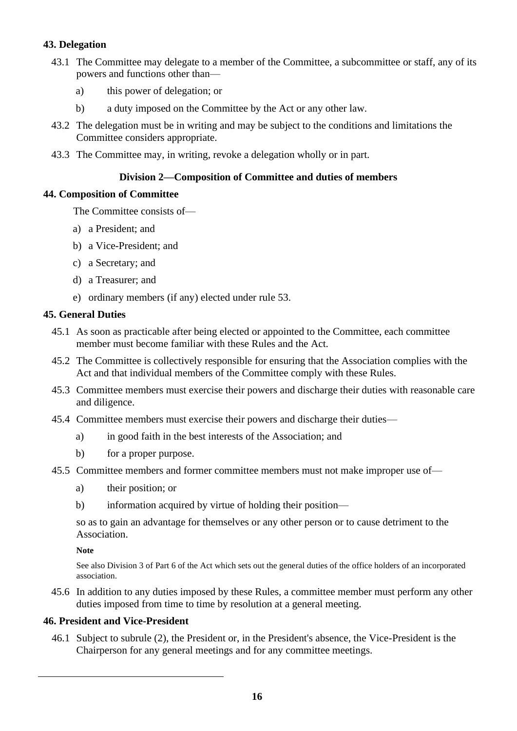## **43. Delegation**

- 43.1 The Committee may delegate to a member of the Committee, a subcommittee or staff, any of its powers and functions other than
	- a) this power of delegation; or
	- b) a duty imposed on the Committee by the Act or any other law.
- 43.2 The delegation must be in writing and may be subject to the conditions and limitations the Committee considers appropriate.
- 43.3 The Committee may, in writing, revoke a delegation wholly or in part.

## **Division 2—Composition of Committee and duties of members**

## **44. Composition of Committee**

The Committee consists of—

- a) a President; and
- b) a Vice-President; and
- c) a Secretary; and
- d) a Treasurer; and
- e) ordinary members (if any) elected under rule 53.

## **45. General Duties**

- 45.1 As soon as practicable after being elected or appointed to the Committee, each committee member must become familiar with these Rules and the Act.
- 45.2 The Committee is collectively responsible for ensuring that the Association complies with the Act and that individual members of the Committee comply with these Rules.
- 45.3 Committee members must exercise their powers and discharge their duties with reasonable care and diligence.
- 45.4 Committee members must exercise their powers and discharge their duties
	- a) in good faith in the best interests of the Association; and
	- b) for a proper purpose.
- 45.5 Committee members and former committee members must not make improper use of
	- a) their position; or
	- b) information acquired by virtue of holding their position—

so as to gain an advantage for themselves or any other person or to cause detriment to the Association.

#### **Note**

See also Division 3 of Part 6 of the Act which sets out the general duties of the office holders of an incorporated association.

45.6 In addition to any duties imposed by these Rules, a committee member must perform any other duties imposed from time to time by resolution at a general meeting.

## **46. President and Vice-President**

46.1 Subject to subrule (2), the President or, in the President's absence, the Vice-President is the Chairperson for any general meetings and for any committee meetings.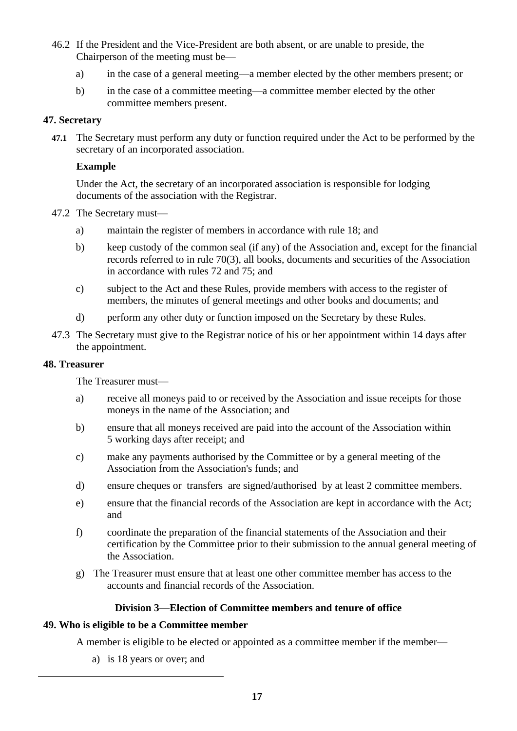- 46.2 If the President and the Vice-President are both absent, or are unable to preside, the Chairperson of the meeting must be
	- a) in the case of a general meeting—a member elected by the other members present; or
	- b) in the case of a committee meeting—a committee member elected by the other committee members present.

## **47. Secretary**

**47.1** The Secretary must perform any duty or function required under the Act to be performed by the secretary of an incorporated association.

## **Example**

Under the Act, the secretary of an incorporated association is responsible for lodging documents of the association with the Registrar.

- 47.2 The Secretary must
	- a) maintain the register of members in accordance with rule 18; and
	- b) keep custody of the common seal (if any) of the Association and, except for the financial records referred to in rule 70(3), all books, documents and securities of the Association in accordance with rules 72 and 75; and
	- c) subject to the Act and these Rules, provide members with access to the register of members, the minutes of general meetings and other books and documents; and
	- d) perform any other duty or function imposed on the Secretary by these Rules.
- 47.3 The Secretary must give to the Registrar notice of his or her appointment within 14 days after the appointment.

#### **48. Treasurer**

The Treasurer must—

- a) receive all moneys paid to or received by the Association and issue receipts for those moneys in the name of the Association; and
- b) ensure that all moneys received are paid into the account of the Association within 5 working days after receipt; and
- c) make any payments authorised by the Committee or by a general meeting of the Association from the Association's funds; and
- d) ensure cheques or transfers are signed/authorised by at least 2 committee members.
- e) ensure that the financial records of the Association are kept in accordance with the Act; and
- f) coordinate the preparation of the financial statements of the Association and their certification by the Committee prior to their submission to the annual general meeting of the Association.
- g) The Treasurer must ensure that at least one other committee member has access to the accounts and financial records of the Association.

## **Division 3—Election of Committee members and tenure of office**

## **49. Who is eligible to be a Committee member**

A member is eligible to be elected or appointed as a committee member if the member—

a) is 18 years or over; and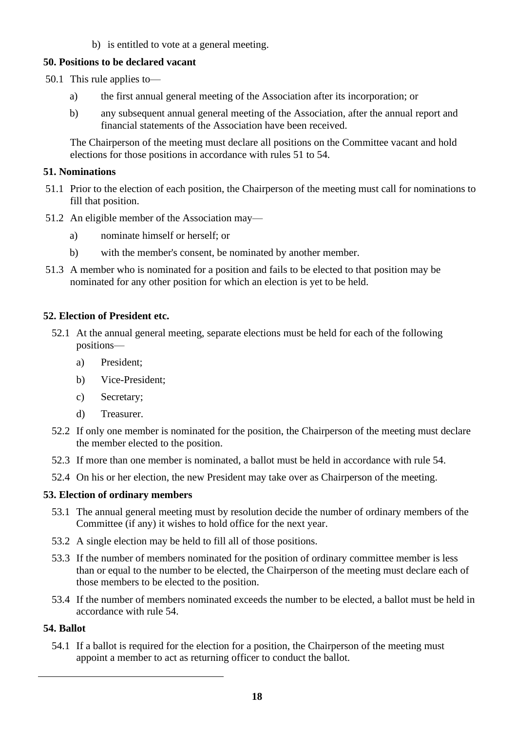b) is entitled to vote at a general meeting.

## **50. Positions to be declared vacant**

- 50.1 This rule applies to
	- a) the first annual general meeting of the Association after its incorporation; or
	- b) any subsequent annual general meeting of the Association, after the annual report and financial statements of the Association have been received.

The Chairperson of the meeting must declare all positions on the Committee vacant and hold elections for those positions in accordance with rules 51 to 54.

#### **51. Nominations**

- 51.1 Prior to the election of each position, the Chairperson of the meeting must call for nominations to fill that position.
- 51.2 An eligible member of the Association may
	- a) nominate himself or herself; or
	- b) with the member's consent, be nominated by another member.
- 51.3 A member who is nominated for a position and fails to be elected to that position may be nominated for any other position for which an election is yet to be held.

## **52. Election of President etc.**

- 52.1 At the annual general meeting, separate elections must be held for each of the following positions
	- a) President;
	- b) Vice-President;
	- c) Secretary;
	- d) Treasurer.
- 52.2 If only one member is nominated for the position, the Chairperson of the meeting must declare the member elected to the position.
- 52.3 If more than one member is nominated, a ballot must be held in accordance with rule 54.
- 52.4 On his or her election, the new President may take over as Chairperson of the meeting.

#### **53. Election of ordinary members**

- 53.1 The annual general meeting must by resolution decide the number of ordinary members of the Committee (if any) it wishes to hold office for the next year.
- 53.2 A single election may be held to fill all of those positions.
- 53.3 If the number of members nominated for the position of ordinary committee member is less than or equal to the number to be elected, the Chairperson of the meeting must declare each of those members to be elected to the position.
- 53.4 If the number of members nominated exceeds the number to be elected, a ballot must be held in accordance with rule 54.

## **54. Ballot**

54.1 If a ballot is required for the election for a position, the Chairperson of the meeting must appoint a member to act as returning officer to conduct the ballot.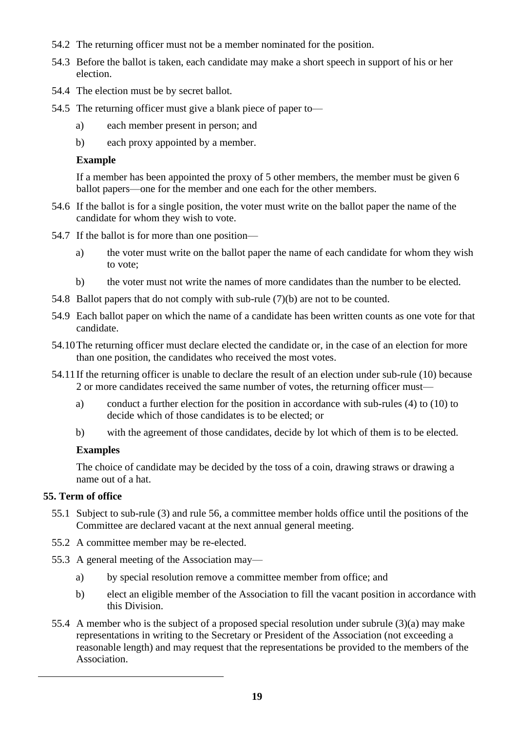- 54.2 The returning officer must not be a member nominated for the position.
- 54.3 Before the ballot is taken, each candidate may make a short speech in support of his or her election.
- 54.4 The election must be by secret ballot.
- 54.5 The returning officer must give a blank piece of paper to
	- a) each member present in person; and
	- b) each proxy appointed by a member.

#### **Example**

If a member has been appointed the proxy of 5 other members, the member must be given 6 ballot papers—one for the member and one each for the other members.

- 54.6 If the ballot is for a single position, the voter must write on the ballot paper the name of the candidate for whom they wish to vote.
- 54.7 If the ballot is for more than one position
	- a) the voter must write on the ballot paper the name of each candidate for whom they wish to vote;
	- b) the voter must not write the names of more candidates than the number to be elected.
- 54.8 Ballot papers that do not comply with sub-rule (7)(b) are not to be counted.
- 54.9 Each ballot paper on which the name of a candidate has been written counts as one vote for that candidate.
- 54.10The returning officer must declare elected the candidate or, in the case of an election for more than one position, the candidates who received the most votes.
- 54.11If the returning officer is unable to declare the result of an election under sub-rule (10) because 2 or more candidates received the same number of votes, the returning officer must
	- a) conduct a further election for the position in accordance with sub-rules (4) to (10) to decide which of those candidates is to be elected; or
	- b) with the agreement of those candidates, decide by lot which of them is to be elected.

## **Examples**

The choice of candidate may be decided by the toss of a coin, drawing straws or drawing a name out of a hat.

## **55. Term of office**

- 55.1 Subject to sub-rule (3) and rule 56, a committee member holds office until the positions of the Committee are declared vacant at the next annual general meeting.
- 55.2 A committee member may be re-elected.
- 55.3 A general meeting of the Association may
	- a) by special resolution remove a committee member from office; and
	- b) elect an eligible member of the Association to fill the vacant position in accordance with this Division.
- 55.4 A member who is the subject of a proposed special resolution under subrule (3)(a) may make representations in writing to the Secretary or President of the Association (not exceeding a reasonable length) and may request that the representations be provided to the members of the Association.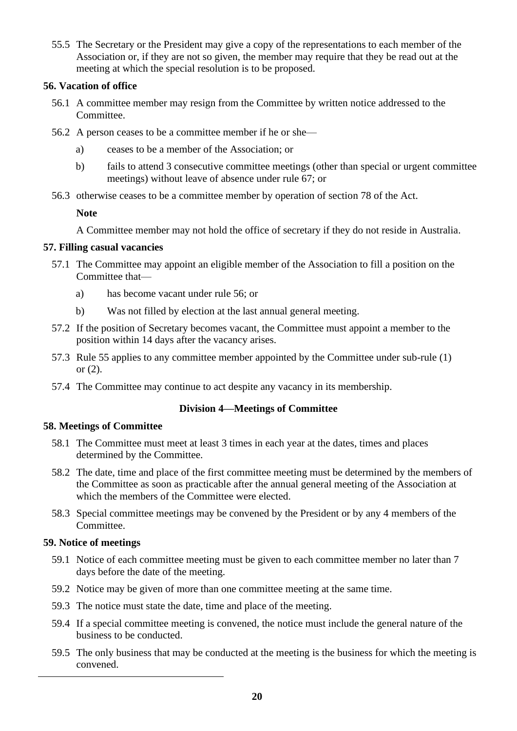55.5 The Secretary or the President may give a copy of the representations to each member of the Association or, if they are not so given, the member may require that they be read out at the meeting at which the special resolution is to be proposed.

## **56. Vacation of office**

- 56.1 A committee member may resign from the Committee by written notice addressed to the Committee.
- 56.2 A person ceases to be a committee member if he or she
	- a) ceases to be a member of the Association; or
	- b) fails to attend 3 consecutive committee meetings (other than special or urgent committee meetings) without leave of absence under rule 67; or
- 56.3 otherwise ceases to be a committee member by operation of section 78 of the Act.

**Note**

A Committee member may not hold the office of secretary if they do not reside in Australia.

#### **57. Filling casual vacancies**

- 57.1 The Committee may appoint an eligible member of the Association to fill a position on the Committee that
	- a) has become vacant under rule 56; or
	- b) Was not filled by election at the last annual general meeting.
- 57.2 If the position of Secretary becomes vacant, the Committee must appoint a member to the position within 14 days after the vacancy arises.
- 57.3 Rule 55 applies to any committee member appointed by the Committee under sub-rule (1) or (2).
- 57.4 The Committee may continue to act despite any vacancy in its membership.

## **Division 4—Meetings of Committee**

#### **58. Meetings of Committee**

- 58.1 The Committee must meet at least 3 times in each year at the dates, times and places determined by the Committee.
- 58.2 The date, time and place of the first committee meeting must be determined by the members of the Committee as soon as practicable after the annual general meeting of the Association at which the members of the Committee were elected.
- 58.3 Special committee meetings may be convened by the President or by any 4 members of the Committee.

## **59. Notice of meetings**

- 59.1 Notice of each committee meeting must be given to each committee member no later than 7 days before the date of the meeting.
- 59.2 Notice may be given of more than one committee meeting at the same time.
- 59.3 The notice must state the date, time and place of the meeting.
- 59.4 If a special committee meeting is convened, the notice must include the general nature of the business to be conducted.
- 59.5 The only business that may be conducted at the meeting is the business for which the meeting is convened.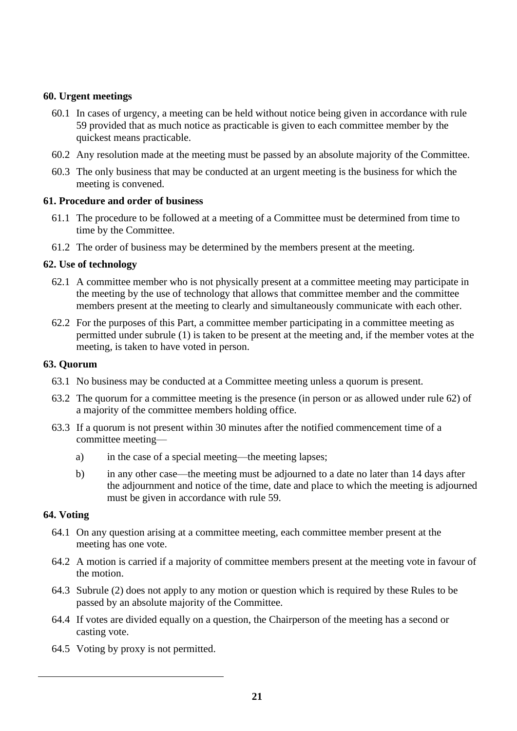## **60. Urgent meetings**

- 60.1 In cases of urgency, a meeting can be held without notice being given in accordance with rule 59 provided that as much notice as practicable is given to each committee member by the quickest means practicable.
- 60.2 Any resolution made at the meeting must be passed by an absolute majority of the Committee.
- 60.3 The only business that may be conducted at an urgent meeting is the business for which the meeting is convened.

#### **61. Procedure and order of business**

- 61.1 The procedure to be followed at a meeting of a Committee must be determined from time to time by the Committee.
- 61.2 The order of business may be determined by the members present at the meeting.

#### **62. Use of technology**

- 62.1 A committee member who is not physically present at a committee meeting may participate in the meeting by the use of technology that allows that committee member and the committee members present at the meeting to clearly and simultaneously communicate with each other.
- 62.2 For the purposes of this Part, a committee member participating in a committee meeting as permitted under subrule (1) is taken to be present at the meeting and, if the member votes at the meeting, is taken to have voted in person.

#### **63. Quorum**

- 63.1 No business may be conducted at a Committee meeting unless a quorum is present.
- 63.2 The quorum for a committee meeting is the presence (in person or as allowed under rule 62) of a majority of the committee members holding office.
- 63.3 If a quorum is not present within 30 minutes after the notified commencement time of a committee meeting
	- a) in the case of a special meeting—the meeting lapses;
	- b) in any other case—the meeting must be adjourned to a date no later than 14 days after the adjournment and notice of the time, date and place to which the meeting is adjourned must be given in accordance with rule 59.

#### **64. Voting**

- 64.1 On any question arising at a committee meeting, each committee member present at the meeting has one vote.
- 64.2 A motion is carried if a majority of committee members present at the meeting vote in favour of the motion.
- 64.3 Subrule (2) does not apply to any motion or question which is required by these Rules to be passed by an absolute majority of the Committee.
- 64.4 If votes are divided equally on a question, the Chairperson of the meeting has a second or casting vote.
- 64.5 Voting by proxy is not permitted.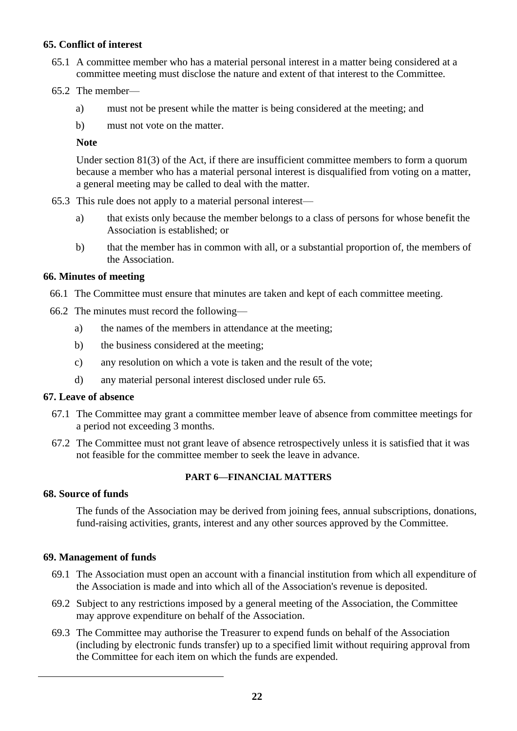## **65. Conflict of interest**

- 65.1 A committee member who has a material personal interest in a matter being considered at a committee meeting must disclose the nature and extent of that interest to the Committee.
- 65.2 The member
	- a) must not be present while the matter is being considered at the meeting; and
	- b) must not vote on the matter.

#### **Note**

Under section 81(3) of the Act, if there are insufficient committee members to form a quorum because a member who has a material personal interest is disqualified from voting on a matter, a general meeting may be called to deal with the matter.

- 65.3 This rule does not apply to a material personal interest
	- a) that exists only because the member belongs to a class of persons for whose benefit the Association is established; or
	- b) that the member has in common with all, or a substantial proportion of, the members of the Association.

#### **66. Minutes of meeting**

- 66.1 The Committee must ensure that minutes are taken and kept of each committee meeting.
- 66.2 The minutes must record the following
	- a) the names of the members in attendance at the meeting;
	- b) the business considered at the meeting;
	- c) any resolution on which a vote is taken and the result of the vote;
	- d) any material personal interest disclosed under rule 65.

#### **67. Leave of absence**

- 67.1 The Committee may grant a committee member leave of absence from committee meetings for a period not exceeding 3 months.
- 67.2 The Committee must not grant leave of absence retrospectively unless it is satisfied that it was not feasible for the committee member to seek the leave in advance.

#### **PART 6—FINANCIAL MATTERS**

#### **68. Source of funds**

The funds of the Association may be derived from joining fees, annual subscriptions, donations, fund-raising activities, grants, interest and any other sources approved by the Committee.

#### **69. Management of funds**

- 69.1 The Association must open an account with a financial institution from which all expenditure of the Association is made and into which all of the Association's revenue is deposited.
- 69.2 Subject to any restrictions imposed by a general meeting of the Association, the Committee may approve expenditure on behalf of the Association.
- 69.3 The Committee may authorise the Treasurer to expend funds on behalf of the Association (including by electronic funds transfer) up to a specified limit without requiring approval from the Committee for each item on which the funds are expended.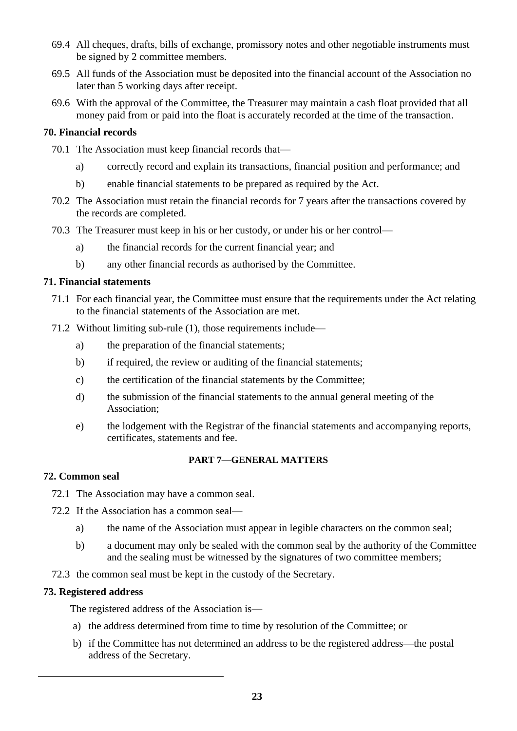- 69.4 All cheques, drafts, bills of exchange, promissory notes and other negotiable instruments must be signed by 2 committee members.
- 69.5 All funds of the Association must be deposited into the financial account of the Association no later than 5 working days after receipt.
- 69.6 With the approval of the Committee, the Treasurer may maintain a cash float provided that all money paid from or paid into the float is accurately recorded at the time of the transaction.

#### **70. Financial records**

- 70.1 The Association must keep financial records that
	- a) correctly record and explain its transactions, financial position and performance; and
	- b) enable financial statements to be prepared as required by the Act.
- 70.2 The Association must retain the financial records for 7 years after the transactions covered by the records are completed.
- 70.3 The Treasurer must keep in his or her custody, or under his or her control
	- a) the financial records for the current financial year; and
	- b) any other financial records as authorised by the Committee.

#### **71. Financial statements**

- 71.1 For each financial year, the Committee must ensure that the requirements under the Act relating to the financial statements of the Association are met.
- 71.2 Without limiting sub-rule (1), those requirements include
	- a) the preparation of the financial statements;
	- b) if required, the review or auditing of the financial statements;
	- c) the certification of the financial statements by the Committee;
	- d) the submission of the financial statements to the annual general meeting of the Association;
	- e) the lodgement with the Registrar of the financial statements and accompanying reports, certificates, statements and fee.

#### **PART 7—GENERAL MATTERS**

#### **72. Common seal**

- 72.1 The Association may have a common seal.
- 72.2 If the Association has a common seal
	- a) the name of the Association must appear in legible characters on the common seal;
	- b) a document may only be sealed with the common seal by the authority of the Committee and the sealing must be witnessed by the signatures of two committee members;
- 72.3 the common seal must be kept in the custody of the Secretary.

#### **73. Registered address**

The registered address of the Association is—

- a) the address determined from time to time by resolution of the Committee; or
- b) if the Committee has not determined an address to be the registered address—the postal address of the Secretary.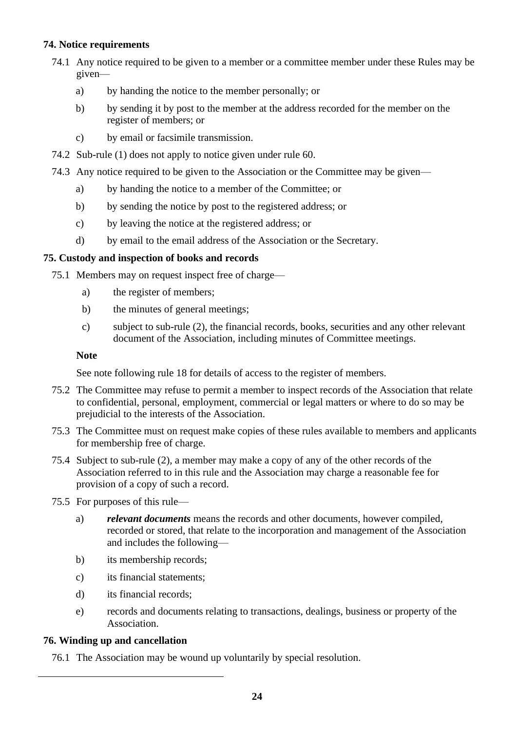## **74. Notice requirements**

- 74.1 Any notice required to be given to a member or a committee member under these Rules may be given
	- a) by handing the notice to the member personally; or
	- b) by sending it by post to the member at the address recorded for the member on the register of members; or
	- c) by email or facsimile transmission.
- 74.2 Sub-rule (1) does not apply to notice given under rule 60.
- 74.3 Any notice required to be given to the Association or the Committee may be given
	- a) by handing the notice to a member of the Committee; or
	- b) by sending the notice by post to the registered address; or
	- c) by leaving the notice at the registered address; or
	- d) by email to the email address of the Association or the Secretary.

## **75. Custody and inspection of books and records**

- 75.1 Members may on request inspect free of charge
	- a) the register of members;
	- b) the minutes of general meetings;
	- c) subject to sub-rule (2), the financial records, books, securities and any other relevant document of the Association, including minutes of Committee meetings.

## **Note**

See note following rule 18 for details of access to the register of members.

- 75.2 The Committee may refuse to permit a member to inspect records of the Association that relate to confidential, personal, employment, commercial or legal matters or where to do so may be prejudicial to the interests of the Association.
- 75.3 The Committee must on request make copies of these rules available to members and applicants for membership free of charge.
- 75.4 Subject to sub-rule (2), a member may make a copy of any of the other records of the Association referred to in this rule and the Association may charge a reasonable fee for provision of a copy of such a record.
- 75.5 For purposes of this rule
	- a) *relevant documents* means the records and other documents, however compiled, recorded or stored, that relate to the incorporation and management of the Association and includes the following—
	- b) its membership records;
	- c) its financial statements;
	- d) its financial records;
	- e) records and documents relating to transactions, dealings, business or property of the Association.

## **76. Winding up and cancellation**

76.1 The Association may be wound up voluntarily by special resolution.